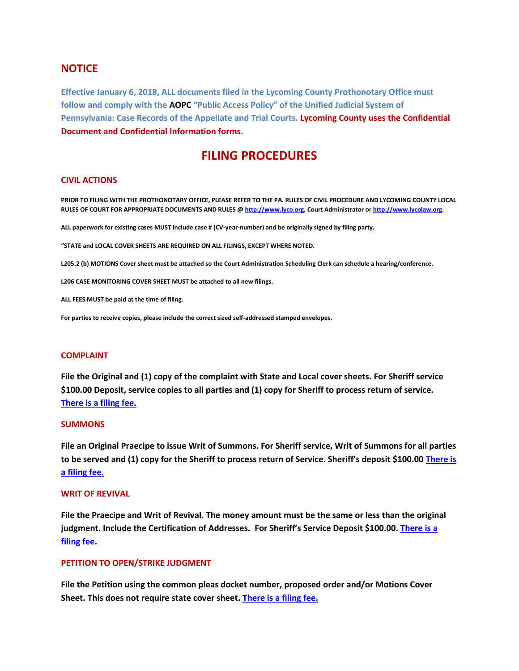## **NOTICE**

**Effective January 6, 2018, ALL documents filed in the Lycoming County Prothonotary Office must follow and comply with the AOPC "Public Access Policy" of the Unified Judicial System of Pennsylvania: Case Records of the Appellate and Trial Courts. Lycoming County uses the Confidential Document and Confidential Information forms.**

# **FILING PROCEDURES**

#### **CIVIL ACTIONS**

**PRIOR TO FILING WITH THE PROTHONOTARY OFFICE, PLEASE REFER TO THE PA. RULES OF CIVIL PROCEDURE AND LYCOMING COUNTY LOCAL RULES OF COURT FOR APPROPRIATE DOCUMENTS AND RULES [@ http://www.lyco.org,](http://www.lyco.org/) Court Administrator o[r http://www.lycolaw.org.](http://www.lycolaw.org/)**

**ALL paperwork for existing cases MUST include case # (CV-year-number) and be originally signed by filing party.**

**"STATE and LOCAL COVER SHEETS ARE REQUIRED ON ALL FILINGS, EXCEPT WHERE NOTED.**

**L205.2 (b) MOTIONS Cover sheet must be attached so the Court Administration Scheduling Clerk can schedule a hearing/conference.**

**L206 CASE MONITORING COVER SHEET MUST be attached to all new filings.**

**ALL FEES MUST be paid at the time of filing.**

**For parties to receive copies, please include the correct sized self-addressed stamped envelopes.**

#### **COMPLAINT**

**File the Original and (1) copy of the complaint with State and Local cover sheets. For Sheriff service \$100.00 Deposit, service copies to all parties and (1) copy for Sheriff to process return of service. [There is a filing fee.](http://www.lyco.org/LinkClick.aspx?fileticket=lSuuIGgMr-E%3d&tabid=637&portalid=1&mid=1582)**

#### **SUMMONS**

**File an Original Praecipe to issue Writ of Summons. For Sheriff service, Writ of Summons for all parties to be served and (1) copy for the Sheriff to process return of Service. Sheriff's deposit \$100.00 [There is](http://www.lyco.org/LinkClick.aspx?fileticket=lSuuIGgMr-E%3d&tabid=637&portalid=1&mid=1582)  [a filing fee.](http://www.lyco.org/LinkClick.aspx?fileticket=lSuuIGgMr-E%3d&tabid=637&portalid=1&mid=1582)**

#### **WRIT OF REVIVAL**

**File the Praecipe and Writ of Revival. The money amount must be the same or less than the original judgment. Include the Certification of Addresses. For Sheriff's Service Deposit \$100.00[. There is a](http://www.lyco.org/LinkClick.aspx?fileticket=lSuuIGgMr-E%3d&tabid=637&portalid=1&mid=1582)  [filing fee.](http://www.lyco.org/LinkClick.aspx?fileticket=lSuuIGgMr-E%3d&tabid=637&portalid=1&mid=1582)**

#### **PETITION TO OPEN/STRIKE JUDGMENT**

**File the Petition using the common pleas docket number, proposed order and/or Motions Cover Sheet. This does not require state cover sheet. [There is a filing fee.](http://www.lyco.org/LinkClick.aspx?fileticket=lSuuIGgMr-E%3d&tabid=637&portalid=1&mid=1582)**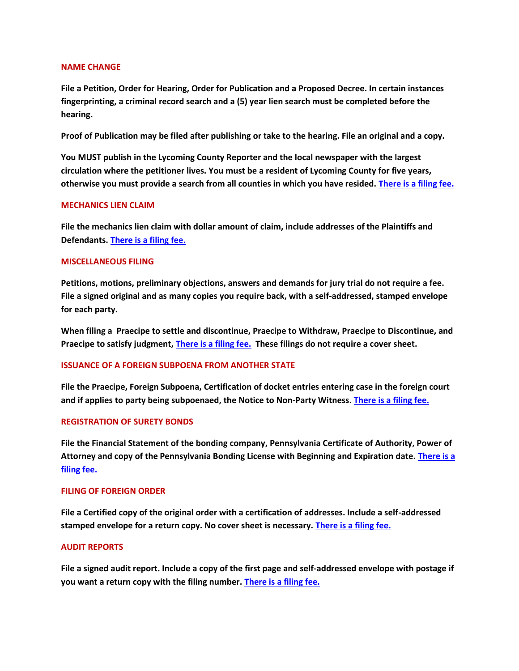#### **NAME CHANGE**

**File a Petition, Order for Hearing, Order for Publication and a Proposed Decree. In certain instances fingerprinting, a criminal record search and a (5) year lien search must be completed before the hearing.** 

**Proof of Publication may be filed after publishing or take to the hearing. File an original and a copy.**

**You MUST publish in the Lycoming County Reporter and the local newspaper with the largest circulation where the petitioner lives. You must be a resident of Lycoming County for five years, otherwise you must provide a search from all counties in which you have resided[. There is a filing fee.](http://www.lyco.org/LinkClick.aspx?fileticket=lSuuIGgMr-E%3d&tabid=637&portalid=1&mid=1582)**

## **MECHANICS LIEN CLAIM**

**File the mechanics lien claim with dollar amount of claim, include addresses of the Plaintiffs and Defendants. [There is a filing fee.](http://www.lyco.org/LinkClick.aspx?fileticket=lSuuIGgMr-E%3d&tabid=637&portalid=1&mid=1582)**

## **MISCELLANEOUS FILING**

**Petitions, motions, preliminary objections, answers and demands for jury trial do not require a fee. File a signed original and as many copies you require back, with a self-addressed, stamped envelope for each party.**

**When filing a Praecipe to settle and discontinue, Praecipe to Withdraw, Praecipe to Discontinue, and Praecipe to satisfy judgment, There [is a filing fee.](http://www.lyco.org/LinkClick.aspx?fileticket=lSuuIGgMr-E%3d&tabid=637&portalid=1&mid=1582) These filings do not require a cover sheet.**

## **ISSUANCE OF A FOREIGN SUBPOENA FROM ANOTHER STATE**

**File the Praecipe, Foreign Subpoena, Certification of docket entries entering case in the foreign court and if applies to party being subpoenaed, the Notice to Non-Party Witness[. There is a filing fee.](http://www.lyco.org/LinkClick.aspx?fileticket=lSuuIGgMr-E%3d&tabid=637&portalid=1&mid=1582)** 

## **REGISTRATION OF SURETY BONDS**

**File the Financial Statement of the bonding company, Pennsylvania Certificate of Authority, Power of Attorney and copy of the Pennsylvania Bonding License with Beginning and Expiration date. [There is a](http://www.lyco.org/LinkClick.aspx?fileticket=lSuuIGgMr-E%3d&tabid=637&portalid=1&mid=1582)  [filing fee.](http://www.lyco.org/LinkClick.aspx?fileticket=lSuuIGgMr-E%3d&tabid=637&portalid=1&mid=1582)**

## **FILING OF FOREIGN ORDER**

**File a Certified copy of the original order with a certification of addresses. Include a self-addressed stamped envelope for a return copy. No cover sheet is necessary. [There is a filing fee.](http://www.lyco.org/LinkClick.aspx?fileticket=lSuuIGgMr-E%3d&tabid=637&portalid=1&mid=1582)**

## **AUDIT REPORTS**

**File a signed audit report. Include a copy of the first page and self-addressed envelope with postage if you want a return copy with the filing number. [There is a filing fee.](http://www.lyco.org/LinkClick.aspx?fileticket=lSuuIGgMr-E%3d&tabid=637&portalid=1&mid=1582)**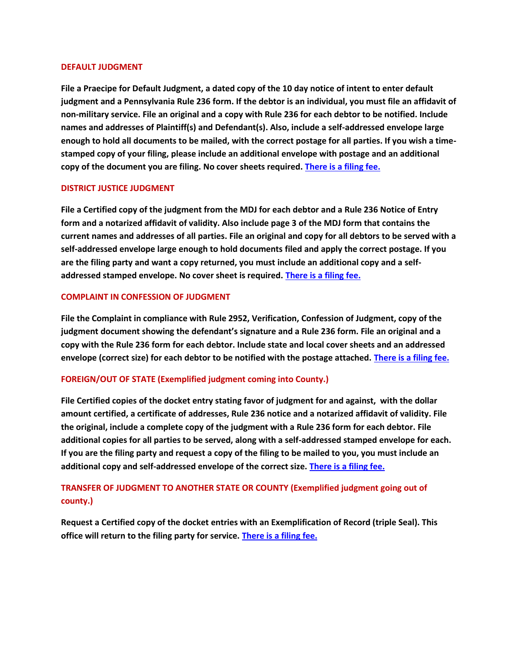#### **DEFAULT JUDGMENT**

**File a Praecipe for Default Judgment, a dated copy of the 10 day notice of intent to enter default judgment and a Pennsylvania Rule 236 form. If the debtor is an individual, you must file an affidavit of non-military service. File an original and a copy with Rule 236 for each debtor to be notified. Include names and addresses of Plaintiff(s) and Defendant(s). Also, include a self-addressed envelope large enough to hold all documents to be mailed, with the correct postage for all parties. If you wish a timestamped copy of your filing, please include an additional envelope with postage and an additional copy of the document you are filing. No cover sheets required. [There is a filing fee.](http://www.lyco.org/LinkClick.aspx?fileticket=lSuuIGgMr-E%3d&tabid=637&portalid=1&mid=1582)**

## **DISTRICT JUSTICE JUDGMENT**

**File a Certified copy of the judgment from the MDJ for each debtor and a Rule 236 Notice of Entry form and a notarized affidavit of validity. Also include page 3 of the MDJ form that contains the current names and addresses of all parties. File an original and copy for all debtors to be served with a self-addressed envelope large enough to hold documents filed and apply the correct postage. If you are the filing party and want a copy returned, you must include an additional copy and a selfaddressed stamped envelope. No cover sheet is required[. There is a filing fee.](http://www.lyco.org/LinkClick.aspx?fileticket=lSuuIGgMr-E%3d&tabid=637&portalid=1&mid=1582)**

## **COMPLAINT IN CONFESSION OF JUDGMENT**

**File the Complaint in compliance with Rule 2952, Verification, Confession of Judgment, copy of the judgment document showing the defendant's signature and a Rule 236 form. File an original and a copy with the Rule 236 form for each debtor. Include state and local cover sheets and an addressed envelope (correct size) for each debtor to be notified with the postage attached. [There is a filing fee.](http://www.lyco.org/LinkClick.aspx?fileticket=lSuuIGgMr-E%3d&tabid=637&portalid=1&mid=1582)**

## **FOREIGN/OUT OF STATE (Exemplified judgment coming into County.)**

**File Certified copies of the docket entry stating favor of judgment for and against, with the dollar amount certified, a certificate of addresses, Rule 236 notice and a notarized affidavit of validity. File the original, include a complete copy of the judgment with a Rule 236 form for each debtor. File additional copies for all parties to be served, along with a self-addressed stamped envelope for each. If you are the filing party and request a copy of the filing to be mailed to you, you must include an additional copy and self-addressed envelope of the correct size. [There is a filing fee.](http://www.lyco.org/LinkClick.aspx?fileticket=lSuuIGgMr-E%3d&tabid=637&portalid=1&mid=1582)**

# **TRANSFER OF JUDGMENT TO ANOTHER STATE OR COUNTY (Exemplified judgment going out of county.)**

**Request a Certified copy of the docket entries with an Exemplification of Record (triple Seal). This office will return to the filing party for service. [There is a filing fee.](http://www.lyco.org/LinkClick.aspx?fileticket=lSuuIGgMr-E%3d&tabid=637&portalid=1&mid=1582)**